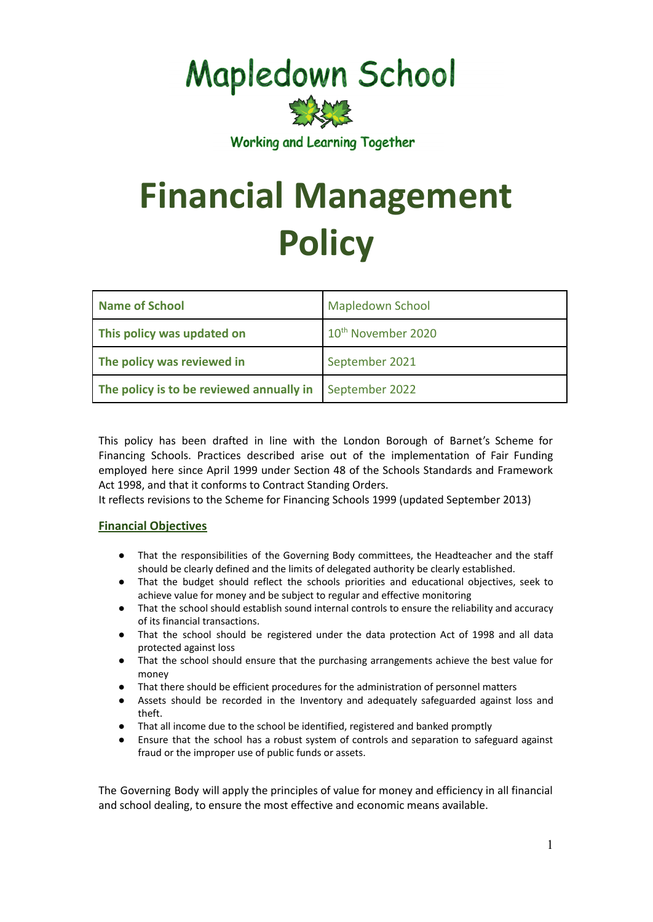## **Mapledown School**



**Working and Learning Together** 

# **Financial Management Policy**

| Name of School                           | <b>Mapledown School</b>        |
|------------------------------------------|--------------------------------|
| This policy was updated on               | 10 <sup>th</sup> November 2020 |
| The policy was reviewed in               | September 2021                 |
| The policy is to be reviewed annually in | September 2022                 |

This policy has been drafted in line with the London Borough of Barnet's Scheme for Financing Schools. Practices described arise out of the implementation of Fair Funding employed here since April 1999 under Section 48 of the Schools Standards and Framework Act 1998, and that it conforms to Contract Standing Orders.

It reflects revisions to the Scheme for Financing Schools 1999 (updated September 2013)

#### **Financial Objectives**

- That the responsibilities of the Governing Body committees, the Headteacher and the staff should be clearly defined and the limits of delegated authority be clearly established.
- That the budget should reflect the schools priorities and educational objectives, seek to achieve value for money and be subject to regular and effective monitoring
- That the school should establish sound internal controls to ensure the reliability and accuracy of its financial transactions.
- That the school should be registered under the data protection Act of 1998 and all data protected against loss
- That the school should ensure that the purchasing arrangements achieve the best value for money
- That there should be efficient procedures for the administration of personnel matters<br>● Assets should be recorded in the Inventory and adequately safeguarded against I
- Assets should be recorded in the Inventory and adequately safeguarded against loss and theft.
- That all income due to the school be identified, registered and banked promptly
- Ensure that the school has a robust system of controls and separation to safeguard against fraud or the improper use of public funds or assets.

The Governing Body will apply the principles of value for money and efficiency in all financial and school dealing, to ensure the most effective and economic means available.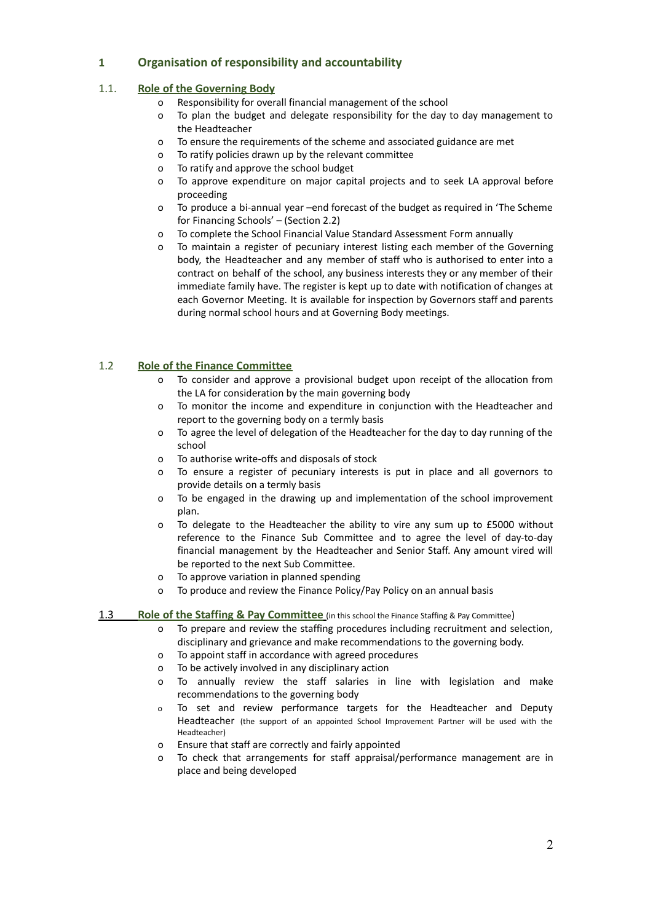#### **1 Organisation of responsibility and accountability**

#### 1.1. **Role of the Governing Body**

- o Responsibility for overall financial management of the school
- o To plan the budget and delegate responsibility for the day to day management to the Headteacher
- o To ensure the requirements of the scheme and associated guidance are met
- o To ratify policies drawn up by the relevant committee
- o To ratify and approve the school budget
- o To approve expenditure on major capital projects and to seek LA approval before proceeding
- o To produce a bi-annual year –end forecast of the budget as required in 'The Scheme for Financing Schools' – (Section 2.2)
- o To complete the School Financial Value Standard Assessment Form annually
- o To maintain a register of pecuniary interest listing each member of the Governing body, the Headteacher and any member of staff who is authorised to enter into a contract on behalf of the school, any business interests they or any member of their immediate family have. The register is kept up to date with notification of changes at each Governor Meeting. It is available for inspection by Governors staff and parents during normal school hours and at Governing Body meetings.

#### 1.2 **Role of the Finance Committee**

- o To consider and approve a provisional budget upon receipt of the allocation from the LA for consideration by the main governing body
- o To monitor the income and expenditure in conjunction with the Headteacher and report to the governing body on a termly basis
- o To agree the level of delegation of the Headteacher for the day to day running of the school
- o To authorise write-offs and disposals of stock
- o To ensure a register of pecuniary interests is put in place and all governors to provide details on a termly basis
- o To be engaged in the drawing up and implementation of the school improvement plan.
- o To delegate to the Headteacher the ability to vire any sum up to £5000 without reference to the Finance Sub Committee and to agree the level of day-to-day financial management by the Headteacher and Senior Staff. Any amount vired will be reported to the next Sub Committee.
- o To approve variation in planned spending
- o To produce and review the Finance Policy/Pay Policy on an annual basis

#### 1.3 **Role of the Staffing & Pay Committee** (in this school the Finance Staffing & Pay Committee)

- o To prepare and review the staffing procedures including recruitment and selection, disciplinary and grievance and make recommendations to the governing body.
- o To appoint staff in accordance with agreed procedures
- o To be actively involved in any disciplinary action
- o To annually review the staff salaries in line with legislation and make recommendations to the governing body
- o To set and review performance targets for the Headteacher and Deputy Headteacher (the support of an appointed School Improvement Partner will be used with the Headteacher)
- o Ensure that staff are correctly and fairly appointed
- o To check that arrangements for staff appraisal/performance management are in place and being developed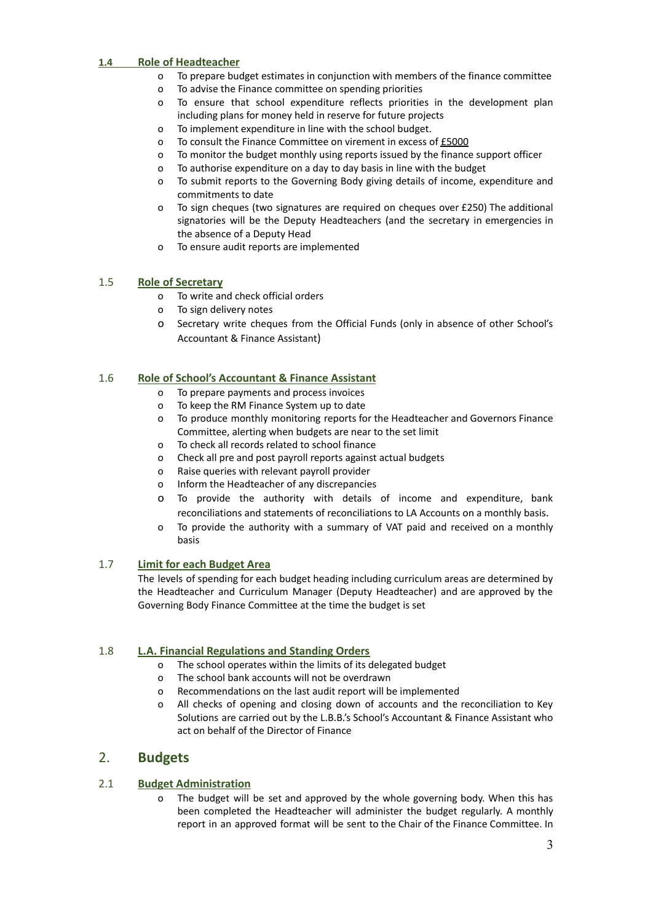#### **1.4 Role of Headteacher**

- o To prepare budget estimates in conjunction with members of the finance committee
- o To advise the Finance committee on spending priorities
- o To ensure that school expenditure reflects priorities in the development plan including plans for money held in reserve for future projects
- o To implement expenditure in line with the school budget.
- o To consult the Finance Committee on virement in excess of £5000
- o To monitor the budget monthly using reports issued by the finance support officer
- o To authorise expenditure on a day to day basis in line with the budget
- o To submit reports to the Governing Body giving details of income, expenditure and commitments to date
- o To sign cheques (two signatures are required on cheques over £250) The additional signatories will be the Deputy Headteachers (and the secretary in emergencies in the absence of a Deputy Head
- o To ensure audit reports are implemented

#### 1.5 **Role of Secretary**

- o To write and check official orders
- o To sign delivery notes
- o Secretary write cheques from the Official Funds (only in absence of other School's Accountant & Finance Assistant)

#### 1.6 **Role of School's Accountant & Finance Assistant**

- o To prepare payments and process invoices
- o To keep the RM Finance System up to date
- o To produce monthly monitoring reports for the Headteacher and Governors Finance Committee, alerting when budgets are near to the set limit
- o To check all records related to school finance
- o Check all pre and post payroll reports against actual budgets
- o Raise queries with relevant payroll provider
- o Inform the Headteacher of any discrepancies
- o To provide the authority with details of income and expenditure, bank reconciliations and statements of reconciliations to LA Accounts on a monthly basis.
- o To provide the authority with a summary of VAT paid and received on a monthly basis

#### 1.7 **Limit for each Budget Area**

The levels of spending for each budget heading including curriculum areas are determined by the Headteacher and Curriculum Manager (Deputy Headteacher) and are approved by the Governing Body Finance Committee at the time the budget is set

#### 1.8 **L.A. Financial Regulations and Standing Orders**

- o The school operates within the limits of its delegated budget
- o The school bank accounts will not be overdrawn
- o Recommendations on the last audit report will be implemented
- o All checks of opening and closing down of accounts and the reconciliation to Key Solutions are carried out by the L.B.B.'s School's Accountant & Finance Assistant who act on behalf of the Director of Finance

#### 2. **Budgets**

#### 2.1 **Budget Administration**

o The budget will be set and approved by the whole governing body. When this has been completed the Headteacher will administer the budget regularly. A monthly report in an approved format will be sent to the Chair of the Finance Committee. In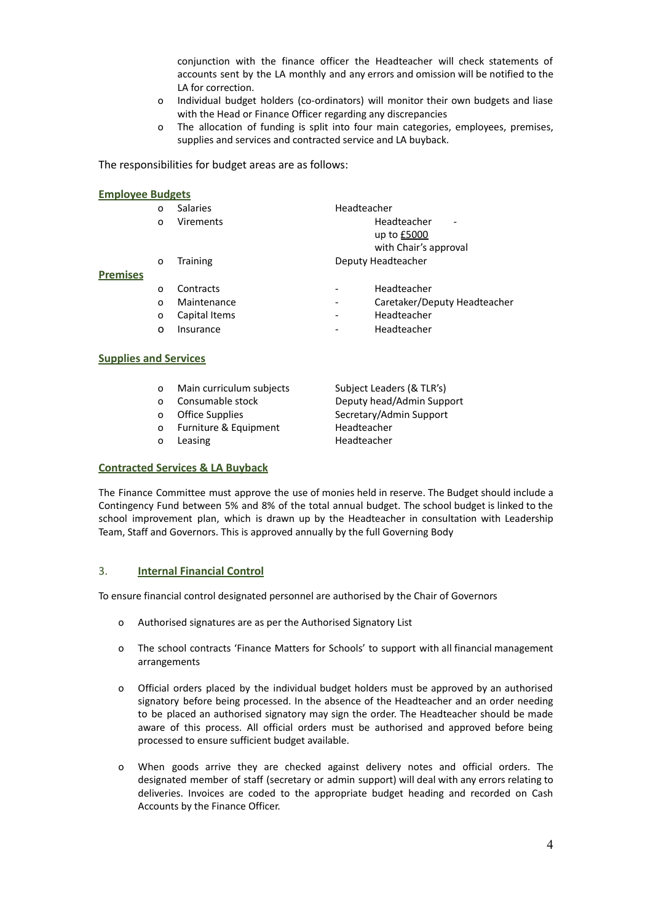conjunction with the finance officer the Headteacher will check statements of accounts sent by the LA monthly and any errors and omission will be notified to the LA for correction.

- o Individual budget holders (co-ordinators) will monitor their own budgets and liase with the Head or Finance Officer regarding any discrepancies
- o The allocation of funding is split into four main categories, employees, premises, supplies and services and contracted service and LA buyback.

The responsibilities for budget areas are as follows:

|                 | 0        | <b>Salaries</b> | Headteacher     |                              |
|-----------------|----------|-----------------|-----------------|------------------------------|
|                 | $\Omega$ | Virements       |                 | Headteacher<br>-             |
|                 |          |                 |                 | up to £5000                  |
|                 |          |                 |                 | with Chair's approval        |
|                 | 0        | Training        |                 | Deputy Headteacher           |
| <b>Premises</b> |          |                 |                 |                              |
|                 | $\Omega$ | Contracts       |                 | Headteacher                  |
|                 | $\Omega$ | Maintenance     | $\qquad \qquad$ | Caretaker/Deputy Headteacher |
|                 | 0        | Capital Items   |                 | Headteacher                  |
|                 | 0        | Insurance       |                 | Headteacher                  |
|                 |          |                 |                 |                              |
|                 |          |                 |                 |                              |

#### **Supplies and Services**

| 0 | Main curriculum subjects |  |
|---|--------------------------|--|
|---|--------------------------|--|

- 
- 
- o Furniture & Equipment Headteacher
- 

Subject Leaders (& TLR's) o Consumable stock Deputy head/Admin Support o Office Supplies Secretary/Admin Support o Leasing **Headteacher** 

#### **Contracted Services & LA Buyback**

The Finance Committee must approve the use of monies held in reserve. The Budget should include a Contingency Fund between 5% and 8% of the total annual budget. The school budget is linked to the school improvement plan, which is drawn up by the Headteacher in consultation with Leadership Team, Staff and Governors. This is approved annually by the full Governing Body

#### 3. **Internal Financial Control**

To ensure financial control designated personnel are authorised by the Chair of Governors

- o Authorised signatures are as per the Authorised Signatory List
- o The school contracts 'Finance Matters for Schools' to support with all financial management arrangements
- o Official orders placed by the individual budget holders must be approved by an authorised signatory before being processed. In the absence of the Headteacher and an order needing to be placed an authorised signatory may sign the order. The Headteacher should be made aware of this process. All official orders must be authorised and approved before being processed to ensure sufficient budget available.
- o When goods arrive they are checked against delivery notes and official orders. The designated member of staff (secretary or admin support) will deal with any errors relating to deliveries. Invoices are coded to the appropriate budget heading and recorded on Cash Accounts by the Finance Officer.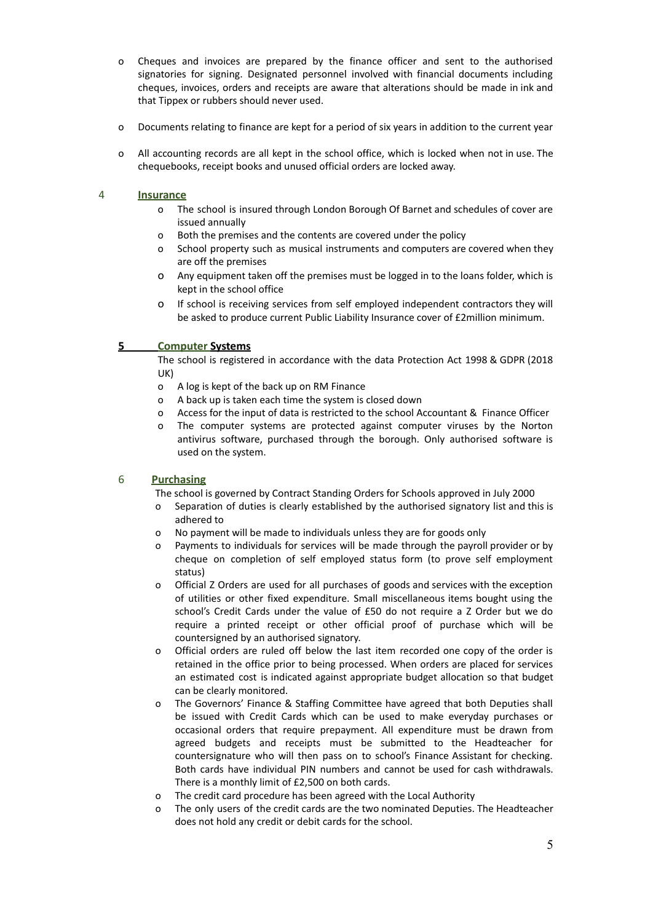- o Cheques and invoices are prepared by the finance officer and sent to the authorised signatories for signing. Designated personnel involved with financial documents including cheques, invoices, orders and receipts are aware that alterations should be made in ink and that Tippex or rubbers should never used.
- o Documents relating to finance are kept for a period of six years in addition to the current year
- o All accounting records are all kept in the school office, which is locked when not in use. The chequebooks, receipt books and unused official orders are locked away.

#### 4 **Insurance**

- o The school is insured through London Borough Of Barnet and schedules of cover are issued annually
- o Both the premises and the contents are covered under the policy
- o School property such as musical instruments and computers are covered when they are off the premises
- o Any equipment taken off the premises must be logged in to the loans folder, which is kept in the school office
- o If school is receiving services from self employed independent contractors they will be asked to produce current Public Liability Insurance cover of £2million minimum.

#### **5 Computer Systems**

The school is registered in accordance with the data Protection Act 1998 & GDPR (2018 UK)

- o A log is kept of the back up on RM Finance
- o A back up is taken each time the system is closed down
- o Access for the input of data is restricted to the school Accountant & Finance Officer
- o The computer systems are protected against computer viruses by the Norton antivirus software, purchased through the borough. Only authorised software is used on the system.

#### 6 **Purchasing**

The school is governed by Contract Standing Orders for Schools approved in July 2000

- o Separation of duties is clearly established by the authorised signatory list and this is adhered to
- o No payment will be made to individuals unless they are for goods only
- o Payments to individuals for services will be made through the payroll provider or by cheque on completion of self employed status form (to prove self employment status)
- o Official Z Orders are used for all purchases of goods and services with the exception of utilities or other fixed expenditure. Small miscellaneous items bought using the school's Credit Cards under the value of £50 do not require a Z Order but we do require a printed receipt or other official proof of purchase which will be countersigned by an authorised signatory.
- o Official orders are ruled off below the last item recorded one copy of the order is retained in the office prior to being processed. When orders are placed for services an estimated cost is indicated against appropriate budget allocation so that budget can be clearly monitored.
- The Governors' Finance & Staffing Committee have agreed that both Deputies shall be issued with Credit Cards which can be used to make everyday purchases or occasional orders that require prepayment. All expenditure must be drawn from agreed budgets and receipts must be submitted to the Headteacher for countersignature who will then pass on to school's Finance Assistant for checking. Both cards have individual PIN numbers and cannot be used for cash withdrawals. There is a monthly limit of £2,500 on both cards.
- o The credit card procedure has been agreed with the Local Authority
- o The only users of the credit cards are the two nominated Deputies. The Headteacher does not hold any credit or debit cards for the school.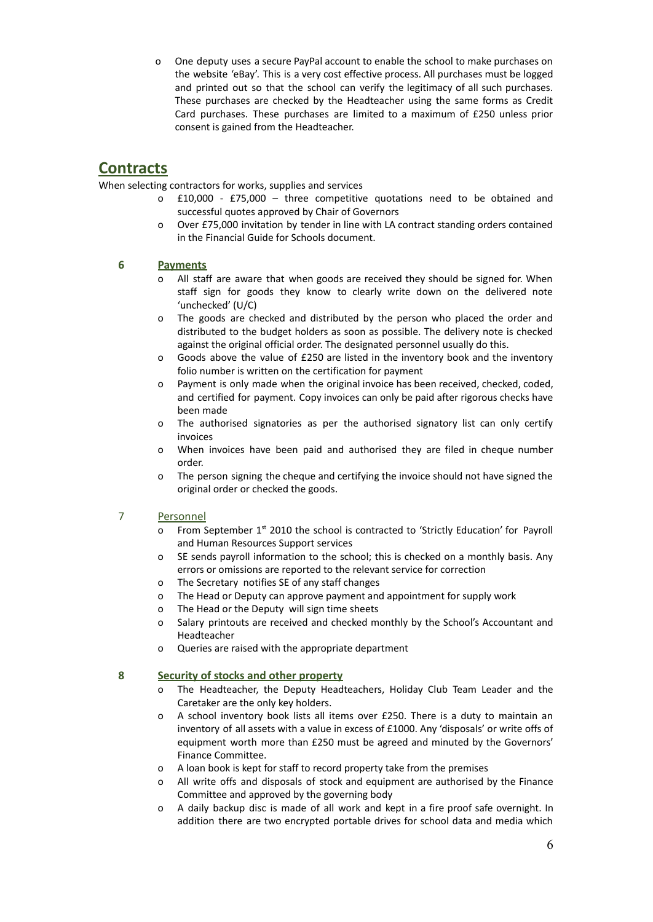o One deputy uses a secure PayPal account to enable the school to make purchases on the website 'eBay'. This is a very cost effective process. All purchases must be logged and printed out so that the school can verify the legitimacy of all such purchases. These purchases are checked by the Headteacher using the same forms as Credit Card purchases. These purchases are limited to a maximum of £250 unless prior consent is gained from the Headteacher.

### **Contracts**

When selecting contractors for works, supplies and services

- o £10,000 £75,000 three competitive quotations need to be obtained and successful quotes approved by Chair of Governors
- o Over £75,000 invitation by tender in line with LA contract standing orders contained in the Financial Guide for Schools document.

#### **6 Payments**

- All staff are aware that when goods are received they should be signed for. When staff sign for goods they know to clearly write down on the delivered note 'unchecked' (U/C)
- o The goods are checked and distributed by the person who placed the order and distributed to the budget holders as soon as possible. The delivery note is checked against the original official order. The designated personnel usually do this.
- o Goods above the value of £250 are listed in the inventory book and the inventory folio number is written on the certification for payment
- o Payment is only made when the original invoice has been received, checked, coded, and certified for payment. Copy invoices can only be paid after rigorous checks have been made
- o The authorised signatories as per the authorised signatory list can only certify invoices
- o When invoices have been paid and authorised they are filed in cheque number order.
- o The person signing the cheque and certifying the invoice should not have signed the original order or checked the goods.

#### 7 Personnel

- o From September 1<sup>st</sup> 2010 the school is contracted to 'Strictly Education' for Payroll and Human Resources Support services
- o SE sends payroll information to the school; this is checked on a monthly basis. Any errors or omissions are reported to the relevant service for correction
- o The Secretary notifies SE of any staff changes
- o The Head or Deputy can approve payment and appointment for supply work
- o The Head or the Deputy will sign time sheets
- o Salary printouts are received and checked monthly by the School's Accountant and Headteacher
- o Queries are raised with the appropriate department

#### **8 Security of stocks and other property**

- o The Headteacher, the Deputy Headteachers, Holiday Club Team Leader and the Caretaker are the only key holders.
- o A school inventory book lists all items over £250. There is a duty to maintain an inventory of all assets with a value in excess of £1000. Any 'disposals' or write offs of equipment worth more than £250 must be agreed and minuted by the Governors' Finance Committee.
- o A loan book is kept for staff to record property take from the premises
- o All write offs and disposals of stock and equipment are authorised by the Finance Committee and approved by the governing body
- o A daily backup disc is made of all work and kept in a fire proof safe overnight. In addition there are two encrypted portable drives for school data and media which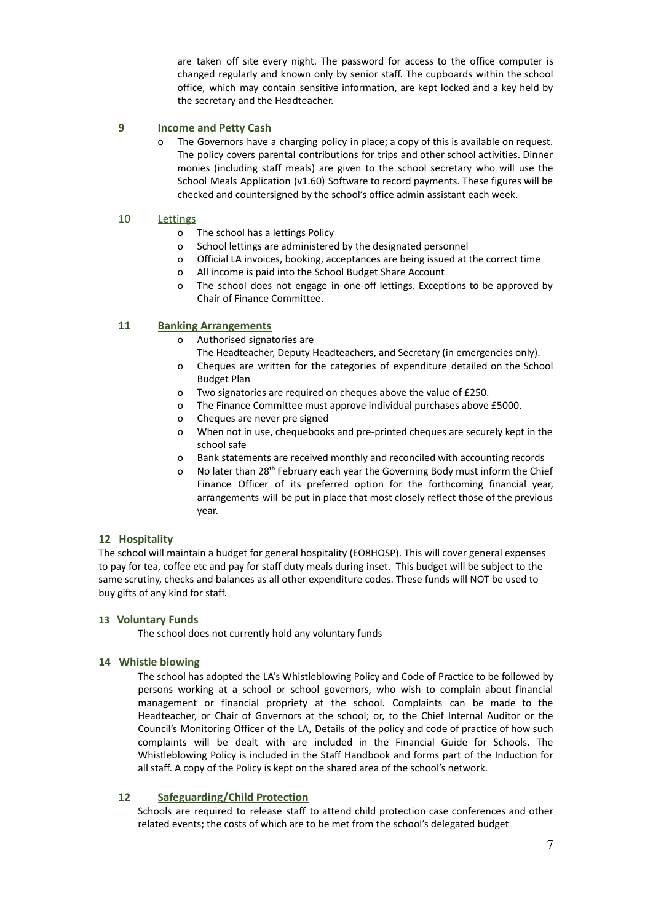are taken off site every night. The password for access to the office computer is changed regularly and known only by senior staff. The cupboards within the school office, which may contain sensitive information, are kept locked and a key held by the secretary and the Headteacher.

#### **9 Income and Petty Cash**

The Governors have a charging policy in place; a copy of this is available on request. The policy covers parental contributions for trips and other school activities. Dinner monies (including staff meals) are given to the school secretary who will use the School Meals Application (v1.60) Software to record payments. These figures will be checked and countersigned by the school's office admin assistant each week.

#### 10 Lettings

- o The school has a lettings Policy
- o School lettings are administered by the designated personnel
- o Official LA invoices, booking, acceptances are being issued at the correct time
- o All income is paid into the School Budget Share Account
- o The school does not engage in one-off lettings. Exceptions to be approved by Chair of Finance Committee.

#### **11 Banking Arrangements**

- o Authorised signatories are
	- The Headteacher, Deputy Headteachers, and Secretary (in emergencies only).
- o Cheques are written for the categories of expenditure detailed on the School Budget Plan
- o Two signatories are required on cheques above the value of £250.
- o The Finance Committee must approve individual purchases above £5000.
- o Cheques are never pre signed
- o When not in use, chequebooks and pre-printed cheques are securely kept in the school safe
- o Bank statements are received monthly and reconciled with accounting records
- o No later than 28<sup>th</sup> February each year the Governing Body must inform the Chief Finance Officer of its preferred option for the forthcoming financial year, arrangements will be put in place that most closely reflect those of the previous year.

#### **12 Hospitality**

The school will maintain a budget for general hospitality (EO8HOSP). This will cover general expenses to pay for tea, coffee etc and pay for staff duty meals during inset. This budget will be subject to the same scrutiny, checks and balances as all other expenditure codes. These funds will NOT be used to buy gifts of any kind for staff.

#### **13 Voluntary Funds**

The school does not currently hold any voluntary funds

#### **14 Whistle blowing**

The school has adopted the LA's Whistleblowing Policy and Code of Practice to be followed by persons working at a school or school governors, who wish to complain about financial management or financial propriety at the school. Complaints can be made to the Headteacher, or Chair of Governors at the school; or, to the Chief Internal Auditor or the Council's Monitoring Officer of the LA, Details of the policy and code of practice of how such complaints will be dealt with are included in the Financial Guide for Schools. The Whistleblowing Policy is included in the Staff Handbook and forms part of the Induction for all staff. A copy of the Policy is kept on the shared area of the school's network.

#### **12 Safeguarding/Child Protection**

Schools are required to release staff to attend child protection case conferences and other related events; the costs of which are to be met from the school's delegated budget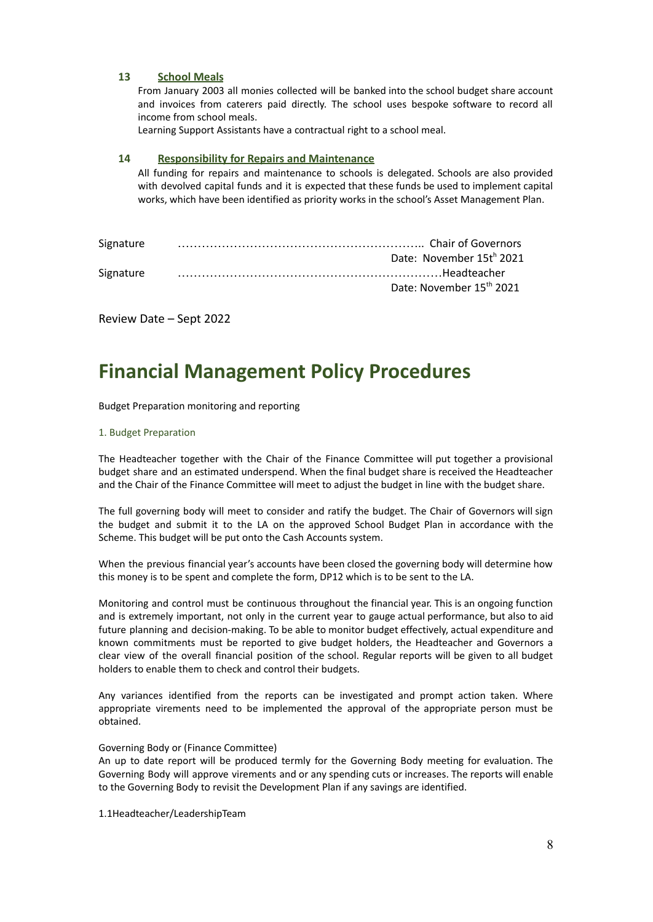#### **13 School Meals**

From January 2003 all monies collected will be banked into the school budget share account and invoices from caterers paid directly. The school uses bespoke software to record all income from school meals.

Learning Support Assistants have a contractual right to a school meal.

#### **14 Responsibility for Repairs and Maintenance**

All funding for repairs and maintenance to schools is delegated. Schools are also provided with devolved capital funds and it is expected that these funds be used to implement capital works, which have been identified as priority works in the school's Asset Management Plan.

| Signature |                          |
|-----------|--------------------------|
|           | Date: November 15th 2021 |
| Signature |                          |
|           | Date: November 15th 2021 |
|           |                          |

Review Date – Sept 2022

## **Financial Management Policy Procedures**

Budget Preparation monitoring and reporting

#### 1. Budget Preparation

The Headteacher together with the Chair of the Finance Committee will put together a provisional budget share and an estimated underspend. When the final budget share is received the Headteacher and the Chair of the Finance Committee will meet to adjust the budget in line with the budget share.

The full governing body will meet to consider and ratify the budget. The Chair of Governors will sign the budget and submit it to the LA on the approved School Budget Plan in accordance with the Scheme. This budget will be put onto the Cash Accounts system.

When the previous financial year's accounts have been closed the governing body will determine how this money is to be spent and complete the form, DP12 which is to be sent to the LA.

Monitoring and control must be continuous throughout the financial year. This is an ongoing function and is extremely important, not only in the current year to gauge actual performance, but also to aid future planning and decision-making. To be able to monitor budget effectively, actual expenditure and known commitments must be reported to give budget holders, the Headteacher and Governors a clear view of the overall financial position of the school. Regular reports will be given to all budget holders to enable them to check and control their budgets.

Any variances identified from the reports can be investigated and prompt action taken. Where appropriate virements need to be implemented the approval of the appropriate person must be obtained.

#### Governing Body or (Finance Committee)

An up to date report will be produced termly for the Governing Body meeting for evaluation. The Governing Body will approve virements and or any spending cuts or increases. The reports will enable to the Governing Body to revisit the Development Plan if any savings are identified.

1.1Headteacher/LeadershipTeam